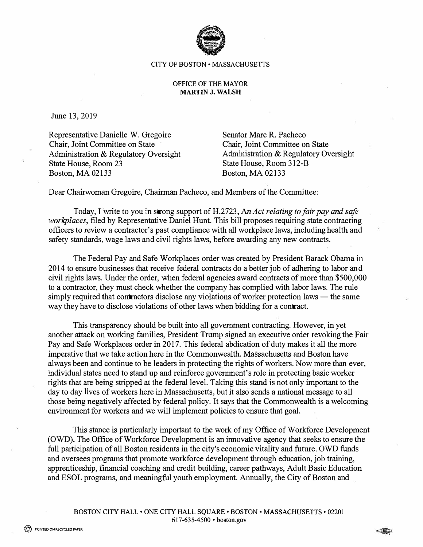

## CITY OF BOSTON • MASSACHUSETTS

## OFFICE OF THE MAYOR **MARTIN J. WALSH**

June 13, 2019

Representative Danielle W. Gregoire Chair, Joint Committee on State Administration & Regulatory Oversight State House, Room 23 Boston, MA 02133

Senator Marc R. Pacheco Chair, Joint Committee on State Administration & Regulatory Oversight State House, Room 312-B Boston, MA 02133

Dear Chairwoman Gregoire, Chairman Pacheco, and Members of the Committee:

Today, I write to you in strong support of H.2723, An Act relating to fair pay and safe *workplaces,* filed by Representative Daniel Hunt. This bill proposes requiring state contracting officers to review a contractor's past compliance with all workplace laws, including health and safety standards, wage laws and civil rights laws, before awarding any new contracts.

The Federal Pay and Safe Workplaces order was created by President Barack Obama in 2014 to ensure businesses that receive federal contracts do a better job of adhering to labor and civil rights laws. Under the order, when federal agencies award contracts of more than \$500,000 to a contractor, they must check whether the company has complied with labor laws. The rule simply required that contractors disclose any violations of worker protection laws  $-$  the same way they have to disclose violations of other laws when bidding for a contract.

This transparency should be built into all government contracting. However, in yet another attack on working families, President Trump signed an executive order revoking the Fair Pay and Safe Workplaces order in 2017. This federal abdication of duty makes it all the more imperative that we take action here in the Commonwealth. Massachusetts and Boston have always been and continue to be leaders in protecting the rights of workers. Now more than ever, individual states need to stand up and reinforce government's role in protecting basic worker rights that are being stripped at the federal level. Taking this stand is not only important to the day to day lives of workers here in Massachusetts, but it also sends a national message to all those being negatively affected by federal policy. It says that the Commonwealth is a welcoming environment for workers and we will implement policies to ensure that goal.

This stance is particularly important to the work of my Office of Workforce Development (OWD). The Office of Workforce Development is an innovative agency that seeks to ensure the full participation of all Boston residents in the city's economic vitality and future. OWD funds and oversees programs that promote workforce development through education, job training, apprenticeship, financial coaching and credit building, career pathways, Adult Basic Education and ESOL programs, and meaningful youth employment. Annually, the City of Boston and